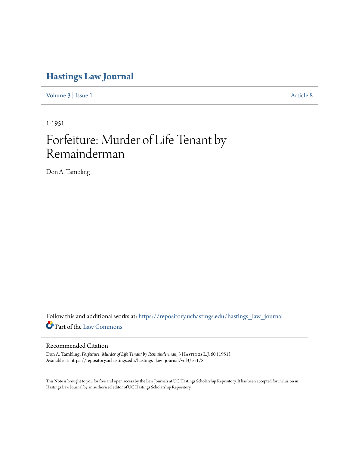## **[Hastings Law Journal](https://repository.uchastings.edu/hastings_law_journal?utm_source=repository.uchastings.edu%2Fhastings_law_journal%2Fvol3%2Fiss1%2F8&utm_medium=PDF&utm_campaign=PDFCoverPages)**

[Volume 3](https://repository.uchastings.edu/hastings_law_journal/vol3?utm_source=repository.uchastings.edu%2Fhastings_law_journal%2Fvol3%2Fiss1%2F8&utm_medium=PDF&utm_campaign=PDFCoverPages) | [Issue 1](https://repository.uchastings.edu/hastings_law_journal/vol3/iss1?utm_source=repository.uchastings.edu%2Fhastings_law_journal%2Fvol3%2Fiss1%2F8&utm_medium=PDF&utm_campaign=PDFCoverPages) [Article 8](https://repository.uchastings.edu/hastings_law_journal/vol3/iss1/8?utm_source=repository.uchastings.edu%2Fhastings_law_journal%2Fvol3%2Fiss1%2F8&utm_medium=PDF&utm_campaign=PDFCoverPages)

1-1951

## Forfeiture: Murder of Life Tenant by Remainderman

Don A. Tambling

Follow this and additional works at: [https://repository.uchastings.edu/hastings\\_law\\_journal](https://repository.uchastings.edu/hastings_law_journal?utm_source=repository.uchastings.edu%2Fhastings_law_journal%2Fvol3%2Fiss1%2F8&utm_medium=PDF&utm_campaign=PDFCoverPages) Part of the [Law Commons](http://network.bepress.com/hgg/discipline/578?utm_source=repository.uchastings.edu%2Fhastings_law_journal%2Fvol3%2Fiss1%2F8&utm_medium=PDF&utm_campaign=PDFCoverPages)

## Recommended Citation

Don A. Tambling, *Forfeiture: Murder of Life Tenant by Remainderman*, 3 HASTINGS L.J. 60 (1951). Available at: https://repository.uchastings.edu/hastings\_law\_journal/vol3/iss1/8

This Note is brought to you for free and open access by the Law Journals at UC Hastings Scholarship Repository. It has been accepted for inclusion in Hastings Law Journal by an authorized editor of UC Hastings Scholarship Repository.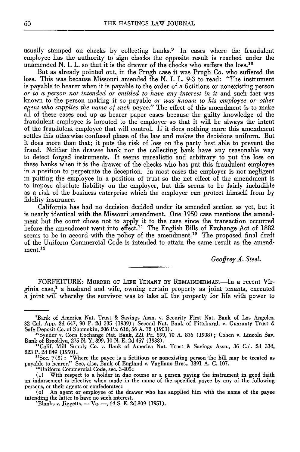usually stamped on checks by collecting banks.<sup>9</sup> In cases where the fraudulent employee has the authority to sign checks the opposite result is reached under the unamended N. I. L. so that it is the drawer of the checks who suffers the loss.<sup>10</sup>

But as already pointed out, in the Prugh case it was Prugh Co. who suffered the loss. This was because Missouri amended the N. I. L. 9-3 to read: "The instrument is payable to bearer when it is payable to the order of a fictitious or nonexisting person *or to a person not intended or entitled to have any interest in it* and such fact was known to the person making it so payable *or was known to his employee or other agent who supplies the* name *of such payee."* The effect of this amendment is to make all of these cases end up as bearer paper cases because the guilty knowledge of the fraudulent employee is imputed to the employer so that it will be always the intent of the fraudulent employee that will control. If it does nothing more this amendment settles this otherwise confused phase of the law and makes the decisions uniform. But it does more than that; it puts the risk of loss on the party best able to prevent the fraud. Neither the drawee bank nor the collecting bank have any reasonable way to detect forged instruments. It seems unrealistic and arbitrary to put the loss on these banks when it is the drawer of the checks who has put this fraudulent employee in a position to perpetrate the deception. In most cases the employer is not negligent in putting the employee in a position of trust so the net effect of the amendment is to impose absolute liability on the employer, but this seems to be fairly includible as a risk of the business enterprise which the employer can protect himself from by fidelity insurance.

California has had no decision decided under its amended section as yet, but it is nearly identical with the Missouri amendment. One 1950 case mentions the amendment but the court chose not to apply it to the case since the transaction occurred before the amendment went into  $\epsilon$  effect.<sup>11</sup> The English Bills of Exchange Act of 1882 seems to be in accord with the policy of the amendment.<sup>12</sup> The proposed final draft of the Uniform Commercial Code is intended to attain the same result as the amendment.13

*Geoffrey A. Steel.*

FORFEITURE: MURDER OF LIFE TENANT BY REMAINDERMAN.-In a recent Virginia case,' a husband and wife, owning certain property as joint tenants, executed a joint will whereby the survivor was to take all the property for life with power to

<sup>&#</sup>x27;Bank of America Nat. Trust & Savings Assn. v. Security First Nat. Bank of Los Angeles, 32 Cal. App. 2d 647, 90 P. 2d 335 (1939) ; Second Nat. Bank of Pittsburgh v. Guaranty Trust & Safe Deposit Co. of Shamokin, 206 Pa. 616, 56 A. 72 (1903).

<sup>&</sup>quot;Synder v. Corn Exchange Nat. Bank, 221 Pa. 599, 70 A. 876 (1908) ; Cohen v. Lincoln Say. Bank of Brooklyn, 275 N. Y. 399, 10 N. E. 2d 457 (1938).

<sup>&</sup>quot;Calif. Mill Supply Co. v. Bank of America Nat. Trust & Savings Assn., 36 Cal. 2d 334, 223 P. 2d 849 (1950).

<sup>&</sup>lt;sup>12</sup>Sec.  $7(3)$ : "Where the payee is a fictitious or nonexisting person the bill may be treated as payable to bearer." See, also, Bank of England v. Vagliano Bros., 1891 A. C. 107. "Uniform Commercial Code, see. 3-405:

<sup>(1)</sup> With respect to a holder in due course or a person paying the instrument in good faith an indorsement is effective when made in the name of the specified payee by any of the following persons, or their agents or confederates:

<sup>(</sup>c) An agent or employee of the drawer who has supplied him with the name of the payee intending the latter to have no such interest.

<sup>&#</sup>x27;Blanks v. Jiggetts, - Va. -, 64 **S.** E. 2d 809 (1951).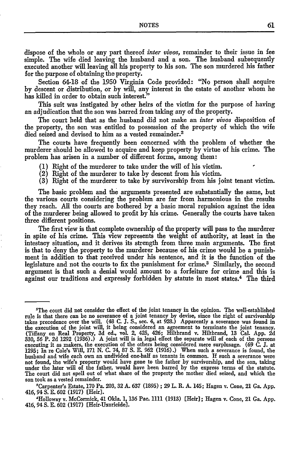dispose of the whole or any part thereof *inter vivos,* remainder to their issue in fee simple. The wife died leaving the husband and a son. The husband subsequently executed another will leaving all his property to his son. The son murdered his father for the purpose of obtaining the property.

Section 64-18 of the **1950** Virginia Code provided: "No person shall acquire **by** descent or distribution, or **by will,** any interest in the estate of another whom he has killed in order to obtain such interest."

This suit was instigated **by** other heirs of the victim for the purpose of having an adjudication that the son was barred from taking any of the property.

The court held that as the husband did not make an *inter vivos* disposition of the property, the son was entitled to possession of the property of which the wife died seized and devised to him as a vested remainder.<sup>2</sup>

The courts have frequently been concerned with the problem of whether the murderer should be allowed to acquire and keep property **by** virtue of his crime. The problem has arisen in a number of different forms, among them:

- **(1)** Right of the murderer to take under the will of his victim.
- (2) Right of the murderer to take **by** descent from his victim.
- **(3)** Right of the murderer to take **by** survivorship from his joint tenant victim.

The basic problem and the arguments presented are substantially the same, but the various courts considering the problem are far from harmonious in the results they reach. **All** the courts are bothered **by** a basic moral repulsion against the idea of the murderer being allowed to profit **by** his crime. Generally the courts have taken three different positions.

The first view is that complete ownership of the property will pass to the murderer in spite of his crime. This view represents the weight of authority, at least in the intestacy situation, and it derives its strength from three main arguments. The first is that to deny the property to the murderer because of his crime would be a punishment in addition to that received under his sentence, and it is the function of the legislature and not the courts to fix the punishment for crime.<sup>3</sup> Similarly, the second argument is that such a denial would amount to a forfeiture for crime and this is against our traditions and expressly forbidden **by** statute in most states. 4 The third

<sup>&#</sup>x27;The court did not consider the effect of the joint tenancy in the opinion. The well-established rule is that there can be no severance of a joint tenancy **by** devise, since the right of survivorship takes precedence over the will. (48 **C. J. S.,** sec. 4, at **928.)** Apparently a severance was found in the execution of the joint will, it being considered an agreement to terminate the joint tenancy. (Tiffany on Real Property, **3d** ed., vol. 2, 425, 426; Hiltbrand v. Hiltbrand, **13** Cal. **App. 2d 330, 56** P. **2d 1292 (1936).) A** joint will is in legal effect the separate will of each of the persons executing it as makers, the execution of the others being considered mere surplusage. **(69 C. J.** at **1295; In** re Cole's Will, **171 N. C.** 74, **87 S. E. 962 (1916).)** When such a severance is found, the husband and wife each own an undivided one-half as tenants in common. If such a severance were not found, the wife's property would have gone to the father **by** survivorship, and the son, taking under the later will of the father, would have been barred **by** the express terms of the statute. The court did not spell out of what share of the property the mother died seized, and which the son took as a vested remainder.

<sup>&#</sup>x27;Carpenter's Estate, **170** Pa. **203, 32 A. 637 (1895) ; 29** L. **R. A.** 145; Hagen v. Cone, 21 Ga. **App.** 416, 94 **S. E. 602 (1917)** [Heir].

<sup>,&#</sup>x27;Holloway v. McCormick, 41 Okla. **1, 136** Pac. **1111 (1913)** [Heir]; Hagen v. Cone, 21 Ga. **App.** 416, 94 **S. E. 602 (1917)** [Heir-Uxoricide].